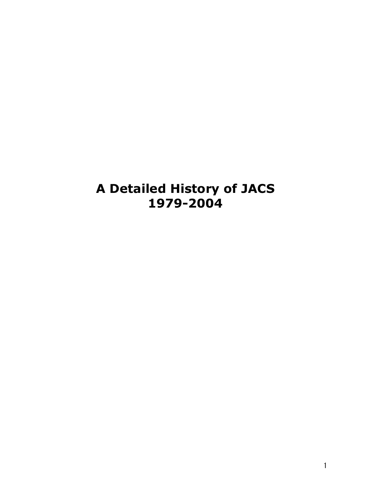# **A Detailed History of JACS 1979-2004**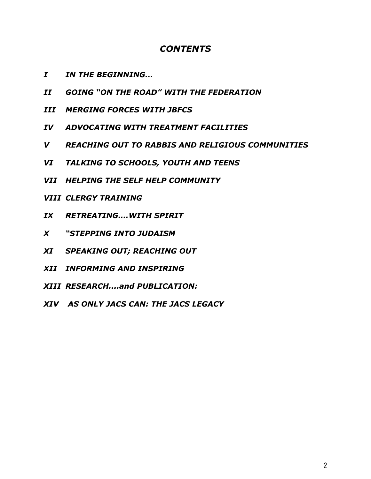### *CONTENTS*

- *I IN THE BEGINNING...*
- *II GOING "ON THE ROAD" WITH THE FEDERATION*
- *III MERGING FORCES WITH JBFCS*
- *IV ADVOCATING WITH TREATMENT FACILITIES*
- *V REACHING OUT TO RABBIS AND RELIGIOUS COMMUNITIES*
- *VI TALKING TO SCHOOLS, YOUTH AND TEENS*
- *VII HELPING THE SELF HELP COMMUNITY*
- *VIII CLERGY TRAINING*
- *IX RETREATING….WITH SPIRIT*
- *X "STEPPING INTO JUDAISM*
- *XI SPEAKING OUT; REACHING OUT*
- *XII INFORMING AND INSPIRING*
- *XIII RESEARCH....and PUBLICATION:*
- *XIV AS ONLY JACS CAN: THE JACS LEGACY*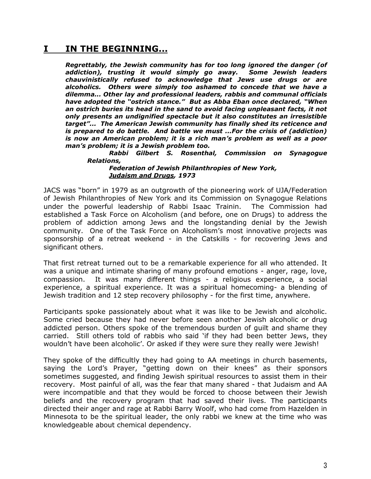### **I IN THE BEGINNING...**

*Regrettably, the Jewish community has for too long ignored the danger (of addiction), trusting it would simply go away. Some Jewish leaders chauvinistically refused to acknowledge that Jews use drugs or are alcoholics. Others were simply too ashamed to concede that we have a dilemma... Other lay and professional leaders, rabbis and communal officials have adopted the "ostrich stance." But as Abba Eban once declared, "When an ostrich buries its head in the sand to avoid facing unpleasant facts, it not only presents an undignified spectacle but it also constitutes an irresistible target"... The American Jewish community has finally shed its reticence and is prepared to do battle. And battle we must ...For the crisis of (addiction) is now an American problem; it is a rich man's problem as well as a poor man's problem; it is a Jewish problem too.*

*Rabbi Gilbert S. Rosenthal, Commission on Synagogue Relations,*

#### *Federation of Jewish Philanthropies of New York, Judaism and Drugs, 1973*

JACS was "born" in 1979 as an outgrowth of the pioneering work of UJA/Federation of Jewish Philanthropies of New York and its Commission on Synagogue Relations under the powerful leadership of Rabbi Isaac Trainin. The Commission had established a Task Force on Alcoholism (and before, one on Drugs) to address the problem of addiction among Jews and the longstanding denial by the Jewish community. One of the Task Force on Alcoholism's most innovative projects was sponsorship of a retreat weekend - in the Catskills - for recovering Jews and significant others.

That first retreat turned out to be a remarkable experience for all who attended. It was a unique and intimate sharing of many profound emotions - anger, rage, love, compassion. It was many different things - a religious experience, a social experience, a spiritual experience. It was a spiritual homecoming- a blending of Jewish tradition and 12 step recovery philosophy - for the first time, anywhere.

Participants spoke passionately about what it was like to be Jewish and alcoholic. Some cried because they had never before seen another Jewish alcoholic or drug addicted person. Others spoke of the tremendous burden of guilt and shame they carried. Still others told of rabbis who said 'if they had been better Jews, they wouldn't have been alcoholic'. Or asked if they were sure they really were Jewish!

They spoke of the difficultly they had going to AA meetings in church basements, saying the Lord's Prayer, "getting down on their knees" as their sponsors sometimes suggested, and finding Jewish spiritual resources to assist them in their recovery. Most painful of all, was the fear that many shared - that Judaism and AA were incompatible and that they would be forced to choose between their Jewish beliefs and the recovery program that had saved their lives. The participants directed their anger and rage at Rabbi Barry Woolf, who had come from Hazelden in Minnesota to be the spiritual leader, the only rabbi we knew at the time who was knowledgeable about chemical dependency.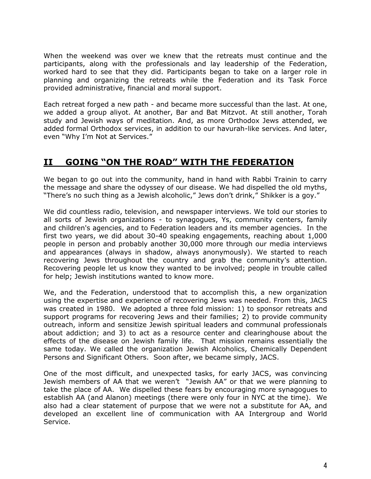When the weekend was over we knew that the retreats must continue and the participants, along with the professionals and lay leadership of the Federation, worked hard to see that they did. Participants began to take on a larger role in planning and organizing the retreats while the Federation and its Task Force provided administrative, financial and moral support.

Each retreat forged a new path - and became more successful than the last. At one, we added a group aliyot. At another, Bar and Bat Mitzvot. At still another, Torah study and Jewish ways of meditation. And, as more Orthodox Jews attended, we added formal Orthodox services, in addition to our havurah-like services. And later, even "Why I'm Not at Services."

# **II GOING "ON THE ROAD" WITH THE FEDERATION**

We began to go out into the community, hand in hand with Rabbi Trainin to carry the message and share the odyssey of our disease. We had dispelled the old myths, "There's no such thing as a Jewish alcoholic," Jews don't drink," Shikker is a goy."

We did countless radio, television, and newspaper interviews. We told our stories to all sorts of Jewish organizations - to synagogues, Ys, community centers, family and children's agencies, and to Federation leaders and its member agencies. In the first two years, we did about 30-40 speaking engagements, reaching about 1,000 people in person and probably another 30,000 more through our media interviews and appearances (always in shadow, always anonymously). We started to reach recovering Jews throughout the country and grab the community's attention. Recovering people let us know they wanted to be involved; people in trouble called for help; Jewish institutions wanted to know more.

We, and the Federation, understood that to accomplish this, a new organization using the expertise and experience of recovering Jews was needed. From this, JACS was created in 1980. We adopted a three fold mission: 1) to sponsor retreats and support programs for recovering Jews and their families; 2) to provide community outreach, inform and sensitize Jewish spiritual leaders and communal professionals about addiction; and 3) to act as a resource center and clearinghouse about the effects of the disease on Jewish family life. That mission remains essentially the same today. We called the organization Jewish Alcoholics, Chemically Dependent Persons and Significant Others. Soon after, we became simply, JACS.

One of the most difficult, and unexpected tasks, for early JACS, was convincing Jewish members of AA that we weren't "Jewish AA" or that we were planning to take the place of AA. We dispelled these fears by encouraging more synagogues to establish AA (and Alanon) meetings (there were only four in NYC at the time). We also had a clear statement of purpose that we were not a substitute for AA, and developed an excellent line of communication with AA Intergroup and World Service.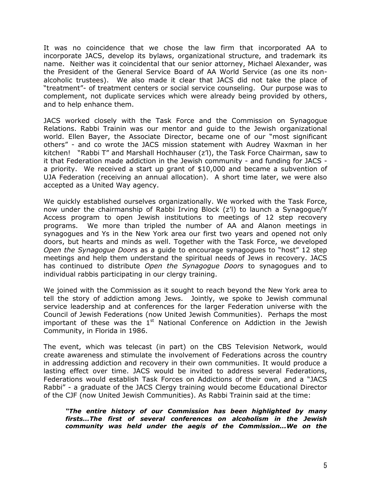It was no coincidence that we chose the law firm that incorporated AA to incorporate JACS, develop its bylaws, organizational structure, and trademark its name. Neither was it coincidental that our senior attorney, Michael Alexander, was the President of the General Service Board of AA World Service (as one its nonalcoholic trustees). We also made it clear that JACS did not take the place of "treatment"- of treatment centers or social service counseling. Our purpose was to complement, not duplicate services which were already being provided by others, and to help enhance them.

JACS worked closely with the Task Force and the Commission on Synagogue Relations. Rabbi Trainin was our mentor and guide to the Jewish organizational world. Ellen Bayer, the Associate Director, became one of our "most significant others" - and co wrote the JACS mission statement with Audrey Waxman in her kitchen! "Rabbi T" and Marshall Hochhauser (z'l), the Task Force Chairman, saw to it that Federation made addiction in the Jewish community - and funding for JACS a priority. We received a start up grant of \$10,000 and became a subvention of UJA Federation (receiving an annual allocation). A short time later, we were also accepted as a United Way agency.

We quickly established ourselves organizationally. We worked with the Task Force, now under the chairmanship of Rabbi Irving Block (z'l) to launch a Synagogue/Y Access program to open Jewish institutions to meetings of 12 step recovery programs. We more than tripled the number of AA and Alanon meetings in synagogues and Ys in the New York area our first two years and opened not only doors, but hearts and minds as well. Together with the Task Force, we developed *Open the Synagogue Doors* as a guide to encourage synagogues to "host" 12 step meetings and help them understand the spiritual needs of Jews in recovery. JACS has continued to distribute *Open the Synagogue Doors* to synagogues and to individual rabbis participating in our clergy training.

We joined with the Commission as it sought to reach beyond the New York area to tell the story of addiction among Jews. Jointly, we spoke to Jewish communal service leadership and at conferences for the larger Federation universe with the Council of Jewish Federations (now United Jewish Communities). Perhaps the most important of these was the  $1<sup>st</sup>$  National Conference on Addiction in the Jewish Community, in Florida in 1986.

The event, which was telecast (in part) on the CBS Television Network, would create awareness and stimulate the involvement of Federations across the country in addressing addiction and recovery in their own communities. It would produce a lasting effect over time. JACS would be invited to address several Federations, Federations would establish Task Forces on Addictions of their own, and a "JACS Rabbi" - a graduate of the JACS Clergy training would become Educational Director of the CJF (now United Jewish Communities). As Rabbi Trainin said at the time:

*"The entire history of our Commission has been highlighted by many firsts...The first of several conferences on alcoholism in the Jewish community was held under the aegis of the Commission...We on the*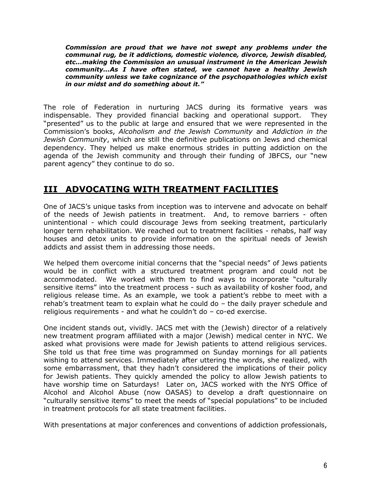*Commission are proud that we have not swept any problems under the communal rug, be it addictions, domestic violence, divorce, Jewish disabled, etc...making the Commission an unusual instrument in the American Jewish community...As I have often stated, we cannot have a healthy Jewish community unless we take cognizance of the psychopathologies which exist in our midst and do something about it."*

The role of Federation in nurturing JACS during its formative years was indispensable. They provided financial backing and operational support. They "presented" us to the public at large and ensured that we were represented in the Commission's books, *Alcoholism and the Jewish Community* and *Addiction in the Jewish Community*, which are still the definitive publications on Jews and chemical dependency. They helped us make enormous strides in putting addiction on the agenda of the Jewish community and through their funding of JBFCS, our "new parent agency" they continue to do so.

## **III ADVOCATING WITH TREATMENT FACILITIES**

One of JACS's unique tasks from inception was to intervene and advocate on behalf of the needs of Jewish patients in treatment. And, to remove barriers - often unintentional - which could discourage Jews from seeking treatment, particularly longer term rehabilitation. We reached out to treatment facilities - rehabs, half way houses and detox units to provide information on the spiritual needs of Jewish addicts and assist them in addressing those needs.

We helped them overcome initial concerns that the "special needs" of Jews patients would be in conflict with a structured treatment program and could not be accommodated. We worked with them to find ways to incorporate "culturally sensitive items" into the treatment process - such as availability of kosher food, and religious release time. As an example, we took a patient's rebbe to meet with a rehab's treatment team to explain what he could do – the daily prayer schedule and religious requirements - and what he couldn't do – co-ed exercise.

One incident stands out, vividly. JACS met with the (Jewish) director of a relatively new treatment program affiliated with a major (Jewish) medical center in NYC. We asked what provisions were made for Jewish patients to attend religious services. She told us that free time was programmed on Sunday mornings for all patients wishing to attend services. Immediately after uttering the words, she realized, with some embarrassment, that they hadn't considered the implications of their policy for Jewish patients. They quickly amended the policy to allow Jewish patients to have worship time on Saturdays! Later on, JACS worked with the NYS Office of Alcohol and Alcohol Abuse (now OASAS) to develop a draft questionnaire on "culturally sensitive items" to meet the needs of "special populations" to be included in treatment protocols for all state treatment facilities.

With presentations at major conferences and conventions of addiction professionals,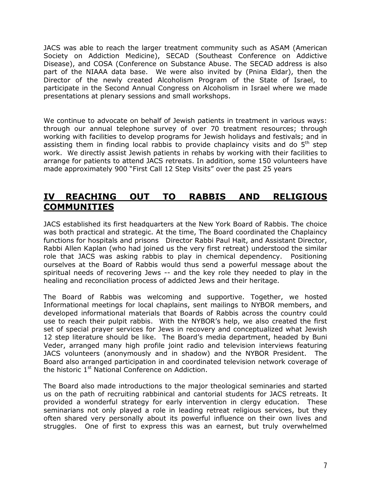JACS was able to reach the larger treatment community such as ASAM (American Society on Addiction Medicine), SECAD (Southeast Conference on Addictive Disease), and COSA (Conference on Substance Abuse. The SECAD address is also part of the NIAAA data base. We were also invited by (Pnina Eldar), then the Director of the newly created Alcoholism Program of the State of Israel, to participate in the Second Annual Congress on Alcoholism in Israel where we made presentations at plenary sessions and small workshops.

We continue to advocate on behalf of Jewish patients in treatment in various ways: through our annual telephone survey of over 70 treatment resources; through working with facilities to develop programs for Jewish holidays and festivals; and in assisting them in finding local rabbis to provide chaplaincy visits and do 5<sup>th</sup> step work. We directly assist Jewish patients in rehabs by working with their facilities to arrange for patients to attend JACS retreats. In addition, some 150 volunteers have made approximately 900 "First Call 12 Step Visits" over the past 25 years

### **IV REACHING OUT TO RABBIS AND RELIGIOUS COMMUNITIES**

JACS established its first headquarters at the New York Board of Rabbis. The choice was both practical and strategic. At the time, The Board coordinated the Chaplaincy functions for hospitals and prisons Director Rabbi Paul Hait, and Assistant Director, Rabbi Allen Kaplan (who had joined us the very first retreat) understood the similar role that JACS was asking rabbis to play in chemical dependency. Positioning ourselves at the Board of Rabbis would thus send a powerful message about the spiritual needs of recovering Jews -- and the key role they needed to play in the healing and reconciliation process of addicted Jews and their heritage.

The Board of Rabbis was welcoming and supportive. Together, we hosted Informational meetings for local chaplains, sent mailings to NYBOR members, and developed informational materials that Boards of Rabbis across the country could use to reach their pulpit rabbis. With the NYBOR's help, we also created the first set of special prayer services for Jews in recovery and conceptualized what Jewish 12 step literature should be like. The Board's media department, headed by Buni Veder, arranged many high profile joint radio and television interviews featuring JACS volunteers (anonymously and in shadow) and the NYBOR President. The Board also arranged participation in and coordinated television network coverage of the historic 1<sup>st</sup> National Conference on Addiction.

The Board also made introductions to the major theological seminaries and started us on the path of recruiting rabbinical and cantorial students for JACS retreats. It provided a wonderful strategy for early intervention in clergy education. These seminarians not only played a role in leading retreat religious services, but they often shared very personally about its powerful influence on their own lives and struggles. One of first to express this was an earnest, but truly overwhelmed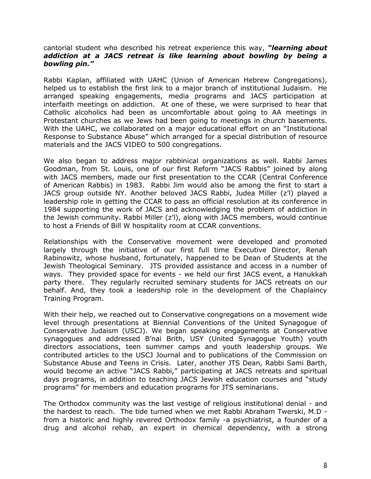#### cantorial student who described his retreat experience this way, *"learning about addiction at a JACS retreat is like learning about bowling by being a bowling pin."*

Rabbi Kaplan, affiliated with UAHC (Union of American Hebrew Congregations), helped us to establish the first link to a major branch of institutional Judaism. He arranged speaking engagements, media programs and JACS participation at interfaith meetings on addiction. At one of these, we were surprised to hear that Catholic alcoholics had been as uncomfortable about going to AA meetings in Protestant churches as we Jews had been going to meetings in church basements. With the UAHC, we collaborated on a major educational effort on an "Institutional Response to Substance Abuse" which arranged for a special distribution of resource materials and the JACS VIDEO to 500 congregations.

We also began to address major rabbinical organizations as well. Rabbi James Goodman, from St. Louis, one of our first Reform "JACS Rabbis" joined by along with JACS members, made our first presentation to the CCAR (Central Conference of American Rabbis) in 1983. Rabbi Jim would also be among the first to start a JACS group outside NY. Another beloved JACS Rabbi, Judea Miller (z'l) played a leadership role in getting the CCAR to pass an official resolution at its conference in 1984 supporting the work of JACS and acknowledging the problem of addiction in the Jewish community. Rabbi Miller (z'l), along with JACS members, would continue to host a Friends of Bill W hospitality room at CCAR conventions.

Relationships with the Conservative movement were developed and promoted largely through the initiative of our first full time Executive Director, Renah Rabinowitz, whose husband, fortunately, happened to be Dean of Students at the Jewish Theological Seminary. JTS provided assistance and access in a number of ways. They provided space for events - we held our first JACS event, a Hanukkah party there. They regularly recruited seminary students for JACS retreats on our behalf. And, they took a leadership role in the development of the Chaplaincy Training Program.

With their help, we reached out to Conservative congregations on a movement wide level through presentations at Biennial Conventions of the United Synagogue of Conservative Judaism (USCJ). We began speaking engagements at Conservative synagogues and addressed B'nai Brith, USY (United Synagogue Youth) youth directors associations, teen summer camps and youth leadership groups. We contributed articles to the USCJ Journal and to publications of the Commission on Substance Abuse and Teens in Crisis. Later, another JTS Dean, Rabbi Sami Barth, would become an active "JACS Rabbi," participating at JACS retreats and spiritual days programs, in addition to teaching JACS Jewish education courses and "study programs" for members and education programs for JTS seminarians.

The Orthodox community was the last vestige of religious institutional denial - and the hardest to reach. The tide turned when we met Rabbi Abraham Twerski, M.D from a historic and highly revered Orthodox family -a psychiatrist, a founder of a drug and alcohol rehab, an expert in chemical dependency, with a strong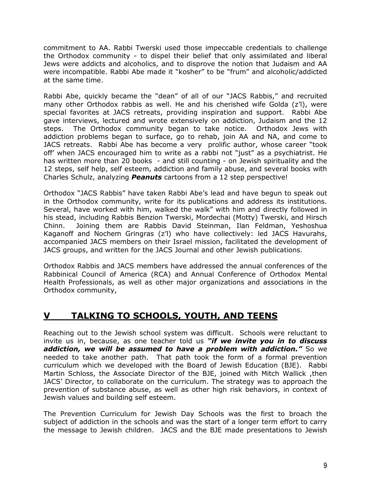commitment to AA. Rabbi Twerski used those impeccable credentials to challenge the Orthodox community - to dispel their belief that only assimilated and liberal Jews were addicts and alcoholics, and to disprove the notion that Judaism and AA were incompatible. Rabbi Abe made it "kosher" to be "frum" and alcoholic/addicted at the same time.

Rabbi Abe, quickly became the "dean" of all of our "JACS Rabbis," and recruited many other Orthodox rabbis as well. He and his cherished wife Golda (z'l), were special favorites at JACS retreats, providing inspiration and support. Rabbi Abe gave interviews, lectured and wrote extensively on addiction, Judaism and the 12 steps. The Orthodox community began to take notice. Orthodox Jews with addiction problems began to surface, go to rehab, join AA and NA, and come to JACS retreats. Rabbi Abe has become a very prolific author, whose career "took off' when JACS encouraged him to write as a rabbi not "just" as a psychiatrist. He has written more than 20 books - and still counting - on Jewish spirituality and the 12 steps, self help, self esteem, addiction and family abuse, and several books with Charles Schulz, analyzing *Peanuts* cartoons from a 12 step perspective!

Orthodox "JACS Rabbis" have taken Rabbi Abe's lead and have begun to speak out in the Orthodox community, write for its publications and address its institutions. Several, have worked with him, walked the walk" with him and directly followed in his stead, including Rabbis Benzion Twerski, Mordechai (Motty) Twerski, and Hirsch Chinn. Joining them are Rabbis David Steinman, Ilan Feldman, Yeshoshua Kaganoff and Nochem Gringras (z'l) who have collectively: led JACS Havurahs, accompanied JACS members on their Israel mission, facilitated the development of JACS groups, and written for the JACS Journal and other Jewish publications.

Orthodox Rabbis and JACS members have addressed the annual conferences of the Rabbinical Council of America (RCA) and Annual Conference of Orthodox Mental Health Professionals, as well as other major organizations and associations in the Orthodox community,

# **V TALKING TO SCHOOLS, YOUTH, AND TEENS**

Reaching out to the Jewish school system was difficult. Schools were reluctant to invite us in, because, as one teacher told us *"if we invite you in to discuss addiction, we will be assumed to have a problem with addiction."* So we needed to take another path. That path took the form of a formal prevention curriculum which we developed with the Board of Jewish Education (BJE). Rabbi Martin Schloss, the Associate Director of the BJE, joined with Mitch Wallick ,then JACS' Director, to collaborate on the curriculum. The strategy was to approach the prevention of substance abuse, as well as other high risk behaviors, in context of Jewish values and building self esteem.

The Prevention Curriculum for Jewish Day Schools was the first to broach the subject of addiction in the schools and was the start of a longer term effort to carry the message to Jewish children. JACS and the BJE made presentations to Jewish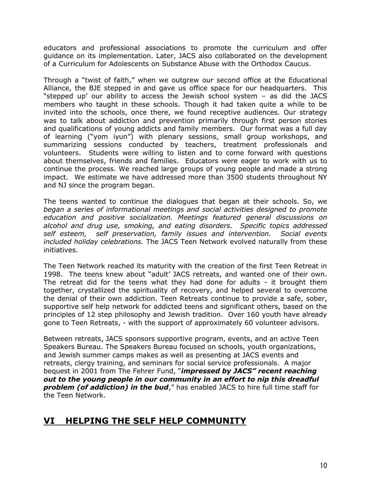educators and professional associations to promote the curriculum and offer guidance on its implementation. Later, JACS also collaborated on the development of a Curriculum for Adolescents on Substance Abuse with the Orthodox Caucus.

Through a "twist of faith," when we outgrew our second office at the Educational Alliance, the BJE stepped in and gave us office space for our headquarters. This "stepped up' our ability to access the Jewish school system – as did the JACS members who taught in these schools. Though it had taken quite a while to be invited into the schools, once there, we found receptive audiences. Our strategy was to talk about addiction and prevention primarily through first person stories and qualifications of young addicts and family members. Our format was a full day of learning ("yom iyun") with plenary sessions, small group workshops, and summarizing sessions conducted by teachers, treatment professionals and volunteers. Students were willing to listen and to come forward with questions about themselves, friends and families. Educators were eager to work with us to continue the process. We reached large groups of young people and made a strong impact. We estimate we have addressed more than 3500 students throughout NY and NJ since the program began.

The teens wanted to continue the dialogues that began at their schools. So, we *began a series of informational meetings and social activities designed to promote education and positive socialization. Meetings featured general discussions on alcohol and drug use, smoking, and eating disorders. Specific topics addressed self esteem, self preservation, family issues and intervention. Social events included holiday celebrations.* The JACS Teen Network evolved naturally from these initiatives.

The Teen Network reached its maturity with the creation of the first Teen Retreat in 1998. The teens knew about "adult' JACS retreats, and wanted one of their own. The retreat did for the teens what they had done for adults - it brought them together, crystallized the spirituality of recovery, and helped several to overcome the denial of their own addiction. Teen Retreats continue to provide a safe, sober, supportive self help network for addicted teens and significant others, based on the principles of 12 step philosophy and Jewish tradition. Over 160 youth have already gone to Teen Retreats, - with the support of approximately 60 volunteer advisors.

Between retreats, JACS sponsors supportive program, events, and an active Teen Speakers Bureau. The Speakers Bureau focused on schools, youth organizations, and Jewish summer camps makes as well as presenting at JACS events and retreats, clergy training, and seminars for social service professionals. A major bequest in 2001 from The Fehrer Fund, "*impressed by JACS" recent reaching out to the young people in our community in an effort to nip this dreadful problem (of addiction) in the bud*," has enabled JACS to hire full time staff for the Teen Network.

## **VI HELPING THE SELF HELP COMMUNITY**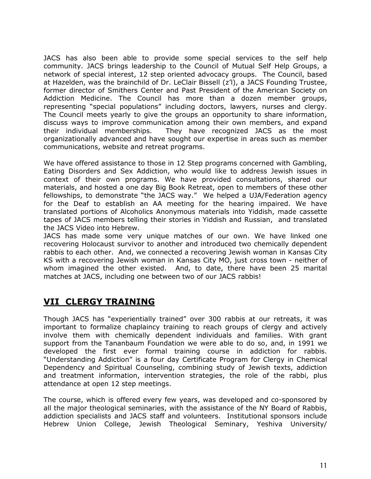JACS has also been able to provide some special services to the self help community. JACS brings leadership to the Council of Mutual Self Help Groups, a network of special interest, 12 step oriented advocacy groups. The Council, based at Hazelden, was the brainchild of Dr. LeClair Bissell (z'l), a JACS Founding Trustee, former director of Smithers Center and Past President of the American Society on Addiction Medicine. The Council has more than a dozen member groups, representing "special populations" including doctors, lawyers, nurses and clergy. The Council meets yearly to give the groups an opportunity to share information, discuss ways to improve communication among their own members, and expand their individual memberships. They have recognized JACS as the most organizationally advanced and have sought our expertise in areas such as member communications, website and retreat programs.

We have offered assistance to those in 12 Step programs concerned with Gambling, Eating Disorders and Sex Addiction, who would like to address Jewish issues in context of their own programs. We have provided consultations, shared our materials, and hosted a one day Big Book Retreat, open to members of these other fellowships, to demonstrate "the JACS way." We helped a UJA/Federation agency for the Deaf to establish an AA meeting for the hearing impaired. We have translated portions of Alcoholics Anonymous materials into Yiddish, made cassette tapes of JACS members telling their stories in Yiddish and Russian, and translated the JACS Video into Hebrew.

JACS has made some very unique matches of our own. We have linked one recovering Holocaust survivor to another and introduced two chemically dependent rabbis to each other. And, we connected a recovering Jewish woman in Kansas City KS with a recovering Jewish woman in Kansas City MO, just cross town - neither of whom imagined the other existed. And, to date, there have been 25 marital matches at JACS, including one between two of our JACS rabbis!

# **VII CLERGY TRAINING**

Though JACS has "experientially trained" over 300 rabbis at our retreats, it was important to formalize chaplaincy training to reach groups of clergy and actively involve them with chemically dependent individuals and families. With grant support from the Tananbaum Foundation we were able to do so, and, in 1991 we developed the first ever formal training course in addiction for rabbis. "Understanding Addiction" is a four day Certificate Program for Clergy in Chemical Dependency and Spiritual Counseling, combining study of Jewish texts, addiction and treatment information, intervention strategies, the role of the rabbi, plus attendance at open 12 step meetings.

The course, which is offered every few years, was developed and co-sponsored by all the major theological seminaries, with the assistance of the NY Board of Rabbis, addiction specialists and JACS staff and volunteers. Institutional sponsors include Hebrew Union College, Jewish Theological Seminary, Yeshiva University/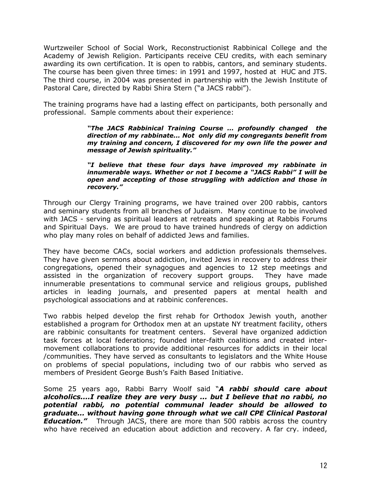Wurtzweiler School of Social Work, Reconstructionist Rabbinical College and the Academy of Jewish Religion. Participants receive CEU credits, with each seminary awarding its own certification. It is open to rabbis, cantors, and seminary students. The course has been given three times: in 1991 and 1997, hosted at HUC and JTS. The third course, in 2004 was presented in partnership with the Jewish Institute of Pastoral Care, directed by Rabbi Shira Stern ("a JACS rabbi").

The training programs have had a lasting effect on participants, both personally and professional. Sample comments about their experience:

> *"The JACS Rabbinical Training Course ... profoundly changed the direction of my rabbinate... Not only did my congregants benefit from my training and concern, I discovered for my own life the power and message of Jewish spirituality."*

> *"I believe that these four days have improved my rabbinate in innumerable ways. Whether or not I become a "JACS Rabbi" I will be open and accepting of those struggling with addiction and those in recovery."*

Through our Clergy Training programs, we have trained over 200 rabbis, cantors and seminary students from all branches of Judaism. Many continue to be involved with JACS - serving as spiritual leaders at retreats and speaking at Rabbis Forums and Spiritual Days. We are proud to have trained hundreds of clergy on addiction who play many roles on behalf of addicted Jews and families.

They have become CACs, social workers and addiction professionals themselves. They have given sermons about addiction, invited Jews in recovery to address their congregations, opened their synagogues and agencies to 12 step meetings and assisted in the organization of recovery support groups. They have made innumerable presentations to communal service and religious groups, published articles in leading journals, and presented papers at mental health and psychological associations and at rabbinic conferences.

Two rabbis helped develop the first rehab for Orthodox Jewish youth, another established a program for Orthodox men at an upstate NY treatment facility, others are rabbinic consultants for treatment centers. Several have organized addiction task forces at local federations; founded inter-faith coalitions and created intermovement collaborations to provide additional resources for addicts in their local /communities. They have served as consultants to legislators and the White House on problems of special populations, including two of our rabbis who served as members of President George Bush's Faith Based Initiative.

Some 25 years ago, Rabbi Barry Woolf said "*A rabbi should care about alcoholics....I realize they are very busy ... but I believe that no rabbi, no potential rabbi, no potential communal leader should be allowed to graduate... without having gone through what we call CPE Clinical Pastoral Education."* Through JACS, there are more than 500 rabbis across the country who have received an education about addiction and recovery. A far cry. indeed,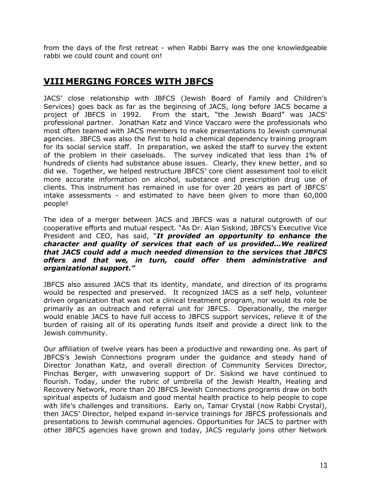from the days of the first retreat - when Rabbi Barry was the one knowledgeable rabbi we could count and count on!

### **VIII MERGING FORCES WITH JBFCS**

JACS' close relationship with JBFCS (Jewish Board of Family and Children's Services) goes back as far as the beginning of JACS, long before JACS became a project of JBFCS in 1992. From the start, "the Jewish Board" was JACS' professional partner. Jonathan Katz and Vince Vaccaro were the professionals who most often teamed with JACS members to make presentations to Jewish communal agencies. JBFCS was also the first to hold a chemical dependency training program for its social service staff. In preparation, we asked the staff to survey the extent of the problem in their caseloads. The survey indicated that less than 1% of hundreds of clients had substance abuse issues. Clearly, they knew better, and so did we. Together, we helped restructure JBFCS' core client assessment tool to elicit more accurate information on alcohol, substance and prescription drug use of clients. This instrument has remained in use for over 20 years as part of JBFCS' intake assessments - and estimated to have been given to more than 60,000 people!

The idea of a merger between JACS and JBFCS was a natural outgrowth of our cooperative efforts and mutual respect. "As Dr. Alan Siskind, JBFCS's Executive Vice President and CEO, has said, "*It provided an opportunity to enhance the character and quality of services that each of us provided...We realized that JACS could add a much needed dimension to the services that JBFCS offers and that we, in turn, could offer them administrative and organizational support."*

JBFCS also assured JACS that its identity, mandate, and direction of its programs would be respected and preserved. It recognized JACS as a self help, volunteer driven organization that was not a clinical treatment program, nor would its role be primarily as an outreach and referral unit for JBFCS. Operationally, the merger would enable JACS to have full access to JBFCS support services, relieve it of the burden of raising all of its operating funds itself and provide a direct link to the Jewish community.

Our affiliation of twelve years has been a productive and rewarding one. As part of JBFCS's Jewish Connections program under the guidance and steady hand of Director Jonathan Katz, and overall direction of Community Services Director, Pinchas Berger, with unwavering support of Dr. Siskind we have continued to flourish. Today, under the rubric of umbrella of the Jewish Health, Healing and Recovery Network, more than 20 JBFCS Jewish Connections programs draw on both spiritual aspects of Judaism and good mental health practice to help people to cope with life's challenges and transitions. Early on, Tamar Crystal (now Rabbi Crystal), then JACS' Director, helped expand in-service trainings for JBFCS professionals and presentations to Jewish communal agencies. Opportunities for JACS to partner with other JBFCS agencies have grown and today, JACS regularly joins other Network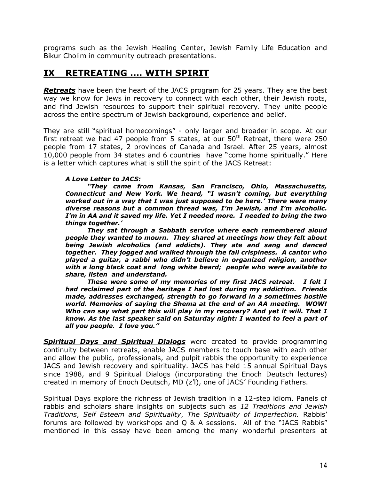programs such as the Jewish Healing Center, Jewish Family Life Education and Bikur Cholim in community outreach presentations.

### **IX RETREATING .... WITH SPIRIT**

*Retreats* have been the heart of the JACS program for 25 years. They are the best way we know for Jews in recovery to connect with each other, their Jewish roots, and find Jewish resources to support their spiritual recovery. They unite people across the entire spectrum of Jewish background, experience and belief.

They are still "spiritual homecomings" - only larger and broader in scope. At our first retreat we had 47 people from 5 states, at our  $50<sup>th</sup>$  Retreat, there were 250 people from 17 states, 2 provinces of Canada and Israel. After 25 years, almost 10,000 people from 34 states and 6 countries have "come home spiritually." Here is a letter which captures what is still the spirit of the JACS Retreat:

#### *A Love Letter to JACS:*

*"They came from Kansas, San Francisco, Ohio, Massachusetts, Connecticut and New York. We heard, "I wasn't coming, but everything worked out in a way that I was just supposed to be here.' There were many diverse reasons but a common thread was, I'm Jewish, and I'm alcoholic. I'm in AA and it saved my life. Yet I needed more. I needed to bring the two things together.'* 

*They sat through a Sabbath service where each remembered aloud people they wanted to mourn. They shared at meetings how they felt about being Jewish alcoholics (and addicts). They ate and sang and danced together. They jogged and walked through the fall crispiness. A cantor who played a guitar, a rabbi who didn't believe in organized religion, another with a long black coat and long white beard; people who were available to share, listen and understand.*

*These were some of my memories of my first JACS retreat. I felt I had reclaimed part of the heritage I had lost during my addiction. Friends made, addresses exchanged, strength to go forward in a sometimes hostile world. Memories of saying the Shema at the end of an AA meeting. WOW! Who can say what part this will play in my recovery? And yet it will. That I know. As the last speaker said on Saturday night: I wanted to feel a part of all you people. I love you."*

*Spiritual Days and Spiritual Dialogs* were created to provide programming continuity between retreats, enable JACS members to touch base with each other and allow the public, professionals, and pulpit rabbis the opportunity to experience JACS and Jewish recovery and spirituality. JACS has held 15 annual Spiritual Days since 1988, and 9 Spiritual Dialogs (incorporating the Enoch Deutsch lectures) created in memory of Enoch Deutsch, MD (z'l), one of JACS' Founding Fathers.

Spiritual Days explore the richness of Jewish tradition in a 12-step idiom. Panels of rabbis and scholars share insights on subjects such as *12 Traditions and Jewish Traditions*, *Self Esteem and Spirituality*, *The Spirituality of Imperfection.* Rabbis' forums are followed by workshops and Q & A sessions. All of the "JACS Rabbis" mentioned in this essay have been among the many wonderful presenters at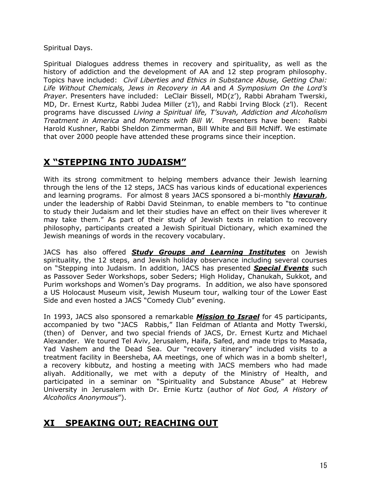Spiritual Days.

Spiritual Dialogues address themes in recovery and spirituality, as well as the history of addiction and the development of AA and 12 step program philosophy. Topics have included: *Civil Liberties and Ethics in Substance Abuse, Getting Chai: Life Without Chemicals, Jews in Recovery in AA* and *A Symposium On the Lord's Prayer*. Presenters have included: LeClair Bissell, MD(z'), Rabbi Abraham Twerski, MD, Dr. Ernest Kurtz, Rabbi Judea Miller (z'l), and Rabbi Irving Block (z'l). Recent programs have discussed *Living a Spiritual life, T'suvah, Addiction and Alcoholism Treatment in America* and *Moments with Bill W.* Presenters have been: Rabbi Harold Kushner, Rabbi Sheldon Zimmerman, Bill White and Bill McNiff. We estimate that over 2000 people have attended these programs since their inception.

# **X "STEPPING INTO JUDAISM"**

With its strong commitment to helping members advance their Jewish learning through the lens of the 12 steps, JACS has various kinds of educational experiences and learning programs. For almost 8 years JACS sponsored a bi-monthly *Havurah*, under the leadership of Rabbi David Steinman, to enable members to "to continue to study their Judaism and let their studies have an effect on their lives wherever it may take them." As part of their study of Jewish texts in relation to recovery philosophy, participants created a Jewish Spiritual Dictionary, which examined the Jewish meanings of words in the recovery vocabulary.

JACS has also offered *Study Groups and Learning Institutes* on Jewish spirituality, the 12 steps, and Jewish holiday observance including several courses on "Stepping into Judaism. In addition, JACS has presented *Special Events* such as Passover Seder Workshops, sober Seders; High Holiday, Chanukah, Sukkot, and Purim workshops and Women's Day programs. In addition, we also have sponsored a US Holocaust Museum visit, Jewish Museum tour, walking tour of the Lower East Side and even hosted a JACS "Comedy Club" evening.

In 1993, JACS also sponsored a remarkable *Mission to Israel* for 45 participants, accompanied by two "JACS Rabbis," Ilan Feldman of Atlanta and Motty Twerski, (then) of Denver, and two special friends of JACS, Dr. Ernest Kurtz and Michael Alexander. We toured Tel Aviv, Jerusalem, Haifa, Safed, and made trips to Masada, Yad Vashem and the Dead Sea. Our "recovery itinerary" included visits to a treatment facility in Beersheba, AA meetings, one of which was in a bomb shelter!, a recovery kibbutz, and hosting a meeting with JACS members who had made aliyah. Additionally, we met with a deputy of the Ministry of Health, and participated in a seminar on "Spirituality and Substance Abuse" at Hebrew University in Jerusalem with Dr. Ernie Kurtz (author of *Not God, A History of Alcoholics Anonymous*").

# **XI SPEAKING OUT; REACHING OUT**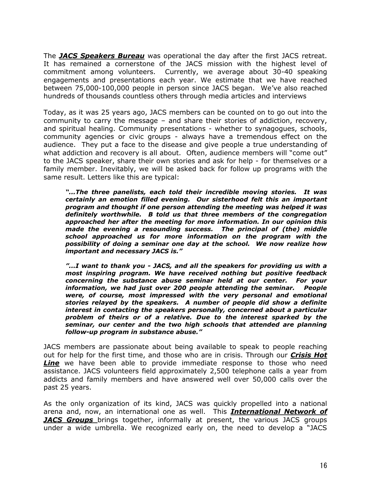The *JACS Speakers Bureau* was operational the day after the first JACS retreat. It has remained a cornerstone of the JACS mission with the highest level of commitment among volunteers. Currently, we average about 30-40 speaking engagements and presentations each year. We estimate that we have reached between 75,000-100,000 people in person since JACS began. We've also reached hundreds of thousands countless others through media articles and interviews

Today, as it was 25 years ago, JACS members can be counted on to go out into the community to carry the message – and share their stories of addiction, recovery, and spiritual healing. Community presentations - whether to synagogues, schools, community agencies or civic groups - always have a tremendous effect on the audience. They put a face to the disease and give people a true understanding of what addiction and recovery is all about. Often, audience members will "come out" to the JACS speaker, share their own stories and ask for help - for themselves or a family member. Inevitably, we will be asked back for follow up programs with the same result. Letters like this are typical:

*"...The three panelists, each told their incredible moving stories. It was certainly an emotion filled evening. Our sisterhood felt this an important program and thought if one person attending the meeting was helped it was definitely worthwhile. B told us that three members of the congregation approached her after the meeting for more information. In our opinion this made the evening a resounding success. The principal of (the) middle school approached us for more information on the program with the possibility of doing a seminar one day at the school. We now realize how important and necessary JACS is."*

*"...I want to thank you - JACS, and all the speakers for providing us with a most inspiring program. We have received nothing but positive feedback concerning the substance abuse seminar held at our center. For your information, we had just over 200 people attending the seminar. People were, of course, most impressed with the very personal and emotional stories relayed by the speakers. A number of people did show a definite interest in contacting the speakers personally, concerned about a particular problem of theirs or of a relative. Due to the interest sparked by the seminar, our center and the two high schools that attended are planning follow-up program in substance abuse."* 

JACS members are passionate about being available to speak to people reaching out for help for the first time, and those who are in crisis. Through our *Crisis Hot*  **Line** we have been able to provide immediate response to those who need assistance. JACS volunteers field approximately 2,500 telephone calls a year from addicts and family members and have answered well over 50,000 calls over the past 25 years.

As the only organization of its kind, JACS was quickly propelled into a national arena and, now, an international one as well. This *International Network of JACS Groups* brings together, informally at present, the various JACS groups under a wide umbrella. We recognized early on, the need to develop a "JACS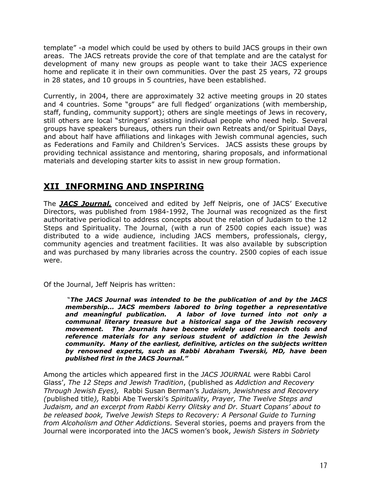template" -a model which could be used by others to build JACS groups in their own areas. The JACS retreats provide the core of that template and are the catalyst for development of many new groups as people want to take their JACS experience home and replicate it in their own communities. Over the past 25 years, 72 groups in 28 states, and 10 groups in 5 countries, have been established.

Currently, in 2004, there are approximately 32 active meeting groups in 20 states and 4 countries. Some "groups" are full fledged' organizations (with membership, staff, funding, community support); others are single meetings of Jews in recovery, still others are local "stringers' assisting individual people who need help. Several groups have speakers bureaus, others run their own Retreats and/or Spiritual Days, and about half have affiliations and linkages with Jewish communal agencies, such as Federations and Family and Children's Services. JACS assists these groups by providing technical assistance and mentoring, sharing proposals, and informational materials and developing starter kits to assist in new group formation.

# **XII INFORMING AND INSPIRING**

The *JACS Journal,* conceived and edited by Jeff Neipris, one of JACS' Executive Directors, was published from 1984-1992, The Journal was recognized as the first authoritative periodical to address concepts about the relation of Judaism to the 12 Steps and Spirituality. The Journal, (with a run of 2500 copies each issue) was distributed to a wide audience, including JACS members, professionals, clergy, community agencies and treatment facilities. It was also available by subscription and was purchased by many libraries across the country. 2500 copies of each issue were.

Of the Journal, Jeff Neipris has written:

"*The JACS Journal was intended to be the publication of and by the JACS membership... JACS members labored to bring together a representative and meaningful publication. A labor of love turned into not only a communal literary treasure but a historical saga of the Jewish recovery movement. The Journals have become widely used research tools and reference materials for any serious student of addiction in the Jewish community. Many of the earliest, definitive, articles on the subjects written by renowned experts, such as Rabbi Abraham Twerski, MD, have been published first in the JACS Journal."* 

Among the articles which appeared first in the *JACS JOURNAL* were Rabbi Carol Glass', *The 12 Steps and Jewish Tradition*, (published as *Addiction and Recovery Through Jewish Eyes),* Rabbi Susan Berman's *Judaism, Jewishness and Recovery (*published title*),* Rabbi Abe Twerski's *Spirituality, Prayer, The Twelve Steps and Judaism, and an excerpt from Rabbi Kerry Olitsky and Dr. Stuart Copans' about to be released book, Twelve Jewish Steps to Recovery: A Personal Guide to Turning from Alcoholism and Other Addictions.* Several stories, poems and prayers from the Journal were incorporated into the JACS women's book, *Jewish Sisters in Sobriety*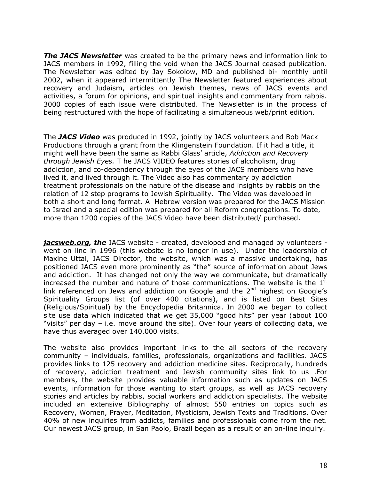*The JACS Newsletter* was created to be the primary news and information link to JACS members in 1992, filling the void when the JACS Journal ceased publication. The Newsletter was edited by Jay Sokolow, MD and published bi- monthly until 2002, when it appeared intermittently The Newsletter featured experiences about recovery and Judaism, articles on Jewish themes, news of JACS events and activities, a forum for opinions, and spiritual insights and commentary from rabbis. 3000 copies of each issue were distributed. The Newsletter is in the process of being restructured with the hope of facilitating a simultaneous web/print edition.

The *JACS Video* was produced in 1992, jointly by JACS volunteers and Bob Mack Productions through a grant from the Klingenstein Foundation. If it had a title, it might well have been the same as Rabbi Glass' article, *Addiction and Recovery through Jewish Eyes.* T he JACS VIDEO features stories of alcoholism, drug addiction, and co-dependency through the eyes of the JACS members who have lived it, and lived through it. The Video also has commentary by addiction treatment professionals on the nature of the disease and insights by rabbis on the relation of 12 step programs to Jewish Spirituality. The Video was developed in both a short and long format. A Hebrew version was prepared for the JACS Mission to Israel and a special edition was prepared for all Reform congregations. To date, more than 1200 copies of the JACS Video have been distributed/ purchased.

*jacsweb.org, the* JACS website - created, developed and managed by volunteers went on line in 1996 (this website is no longer in use). Under the leadership of Maxine Uttal, JACS Director, the website, which was a massive undertaking, has positioned JACS even more prominently as "the" source of information about Jews and addiction. It has changed not only the way we communicate, but dramatically increased the number and nature of those communications. The website is the  $1<sup>st</sup>$ link referenced on Jews and addiction on Google and the  $2<sup>nd</sup>$  highest on Google's Spirituality Groups list (of over 400 citations), and is listed on Best Sites (Religious/Spiritual) by the Encyclopedia Britannica. In 2000 we began to collect site use data which indicated that we get 35,000 "good hits" per year (about 100 "visits" per day – i.e. move around the site). Over four years of collecting data, we have thus averaged over 140,000 visits.

The website also provides important links to the all sectors of the recovery community – individuals, families, professionals, organizations and facilities. JACS provides links to 125 recovery and addiction medicine sites. Reciprocally, hundreds of recovery, addiction treatment and Jewish community sites link to us .For members, the website provides valuable information such as updates on JACS events, information for those wanting to start groups, as well as JACS recovery stories and articles by rabbis, social workers and addiction specialists. The website included an extensive Bibliography of almost 550 entries on topics such as Recovery, Women, Prayer, Meditation, Mysticism, Jewish Texts and Traditions. Over 40% of new inquiries from addicts, families and professionals come from the net. Our newest JACS group, in San Paolo, Brazil began as a result of an on-line inquiry.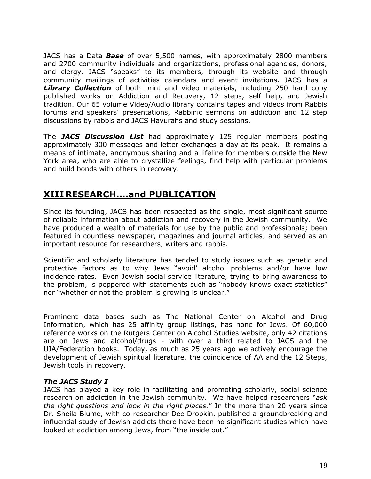JACS has a Data *Base* of over 5,500 names, with approximately 2800 members and 2700 community individuals and organizations, professional agencies, donors, and clergy. JACS "speaks" to its members, through its website and through community mailings of activities calendars and event invitations. JACS has a *Library Collection* of both print and video materials, including 250 hard copy published works on Addiction and Recovery, 12 steps, self help, and Jewish tradition. Our 65 volume Video/Audio library contains tapes and videos from Rabbis forums and speakers' presentations, Rabbinic sermons on addiction and 12 step discussions by rabbis and JACS Havurahs and study sessions.

The *JACS Discussion List* had approximately 125 regular members posting approximately 300 messages and letter exchanges a day at its peak. It remains a means of intimate, anonymous sharing and a lifeline for members outside the New York area, who are able to crystallize feelings, find help with particular problems and build bonds with others in recovery.

## **XIII RESEARCH....and PUBLICATION**

Since its founding, JACS has been respected as the single, most significant source of reliable information about addiction and recovery in the Jewish community. We have produced a wealth of materials for use by the public and professionals; been featured in countless newspaper, magazines and journal articles; and served as an important resource for researchers, writers and rabbis.

Scientific and scholarly literature has tended to study issues such as genetic and protective factors as to why Jews "avoid' alcohol problems and/or have low incidence rates. Even Jewish social service literature, trying to bring awareness to the problem, is peppered with statements such as "nobody knows exact statistics" nor "whether or not the problem is growing is unclear."

Prominent data bases such as The National Center on Alcohol and Drug Information, which has 25 affinity group listings, has none for Jews. Of 60,000 reference works on the Rutgers Center on Alcohol Studies website, only 42 citations are on Jews and alcohol/drugs - with over a third related to JACS and the UJA/Federation books. Today, as much as 25 years ago we actively encourage the development of Jewish spiritual literature, the coincidence of AA and the 12 Steps, Jewish tools in recovery.

#### *The JACS Study I*

JACS has played a key role in facilitating and promoting scholarly, social science research on addiction in the Jewish community. We have helped researchers "*ask the right questions and look in the right places.*" In the more than 20 years since Dr. Sheila Blume, with co-researcher Dee Dropkin, published a groundbreaking and influential study of Jewish addicts there have been no significant studies which have looked at addiction among Jews, from "the inside out."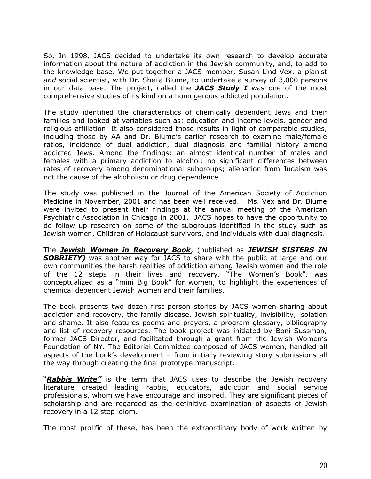So, In 1998, JACS decided to undertake its own research to develop accurate information about the nature of addiction in the Jewish community, and, to add to the knowledge base. We put together a JACS member, Susan Lind Vex, a pianist *and* social scientist, with Dr. Sheila Blume, to undertake a survey of 3,000 persons in our data base. The project, called the *JACS Study I* was one of the most comprehensive studies of its kind on a homogenous addicted population.

The study identified the characteristics of chemically dependent Jews and their families and looked at variables such as: education and income levels, gender and religious affiliation. It also considered those results in light of comparable studies, including those by AA and Dr. Blume's earlier research to examine male/female ratios, incidence of dual addiction, dual diagnosis and familial history among addicted Jews. Among the findings: an almost identical number of males and females with a primary addiction to alcohol; no significant differences between rates of recovery among denominational subgroups; alienation from Judaism was not the cause of the alcoholism or drug dependence.

The study was published in the Journal of the American Society of Addiction Medicine in November, 2001 and has been well received. Ms. Vex and Dr. Blume were invited to present their findings at the annual meeting of the American Psychiatric Association in Chicago in 2001. JACS hopes to have the opportunity to do follow up research on some of the subgroups identified in the study such as Jewish women, Children of Holocaust survivors, and individuals with dual diagnosis.

The *Jewish Women in Recovery Book*, (published as *JEWISH SISTERS IN*  **SOBRIETY)** was another way for JACS to share with the public at large and our own communities the harsh realities of addiction among Jewish women and the role of the 12 steps in their lives and recovery. "The Women's Book", was conceptualized as a "mini Big Book" for women, to highlight the experiences of chemical dependent Jewish women and their families.

The book presents two dozen first person stories by JACS women sharing about addiction and recovery, the family disease, Jewish spirituality, invisibility, isolation and shame. It also features poems and prayers, a program glossary, bibliography and list of recovery resources. The book project was initiated by Boni Sussman, former JACS Director, and facilitated through a grant from the Jewish Women's Foundation of NY. The Editorial Committee composed of JACS women, handled all aspects of the book's development – from initially reviewing story submissions all the way through creating the final prototype manuscript.

"*Rabbis Write"* is the term that JACS uses to describe the Jewish recovery literature created leading rabbis, educators, addiction and social service professionals, whom we have encourage and inspired. They are significant pieces of scholarship and are regarded as the definitive examination of aspects of Jewish recovery in a 12 step idiom.

The most prolific of these, has been the extraordinary body of work written by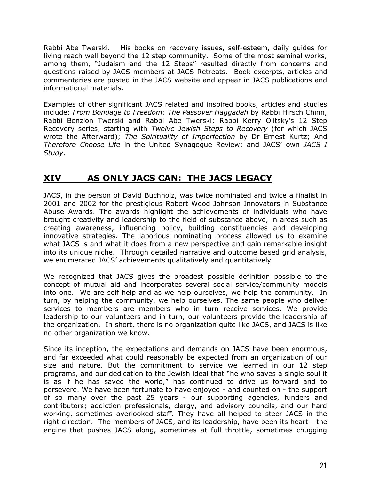Rabbi Abe Twerski. His books on recovery issues, self-esteem, daily guides for living reach well beyond the 12 step community. Some of the most seminal works, among them, "Judaism and the 12 Steps" resulted directly from concerns and questions raised by JACS members at JACS Retreats. Book excerpts, articles and commentaries are posted in the JACS website and appear in JACS publications and informational materials.

Examples of other significant JACS related and inspired books, articles and studies include: *From Bondage to Freedom: The Passover Haggadah* by Rabbi Hirsch Chinn, Rabbi Benzion Twerski and Rabbi Abe Twerski; Rabbi Kerry Olitsky's 12 Step Recovery series, starting with *Twelve Jewish Steps to Recovery* (for which JACS wrote the Afterward); *The Spirituality of Imperfection* by Dr Ernest Kurtz; And *Therefore Choose Life* in the United Synagogue Review; and JACS' own *JACS I Study*.

# **XIV AS ONLY JACS CAN: THE JACS LEGACY**

JACS, in the person of David Buchholz, was twice nominated and twice a finalist in 2001 and 2002 for the prestigious Robert Wood Johnson Innovators in Substance Abuse Awards. The awards highlight the achievements of individuals who have brought creativity and leadership to the field of substance above, in areas such as creating awareness, influencing policy, building constituencies and developing innovative strategies. The laborious nominating process allowed us to examine what JACS is and what it does from a new perspective and gain remarkable insight into its unique niche. Through detailed narrative and outcome based grid analysis, we enumerated JACS' achievements qualitatively and quantitatively.

We recognized that JACS gives the broadest possible definition possible to the concept of mutual aid and incorporates several social service/community models into one. We are self help and as we help ourselves, we help the community. In turn, by helping the community, we help ourselves. The same people who deliver services to members are members who in turn receive services. We provide leadership to our volunteers and in turn, our volunteers provide the leadership of the organization. In short, there is no organization quite like JACS, and JACS is like no other organization we know.

Since its inception, the expectations and demands on JACS have been enormous, and far exceeded what could reasonably be expected from an organization of our size and nature. But the commitment to service we learned in our 12 step programs, and our dedication to the Jewish ideal that "he who saves a single soul it is as if he has saved the world," has continued to drive us forward and to persevere. We have been fortunate to have enjoyed - and counted on - the support of so many over the past 25 years - our supporting agencies, funders and contributors; addiction professionals, clergy, and advisory councils, and our hard working, sometimes overlooked staff. They have all helped to steer JACS in the right direction. The members of JACS, and its leadership, have been its heart - the engine that pushes JACS along, sometimes at full throttle, sometimes chugging